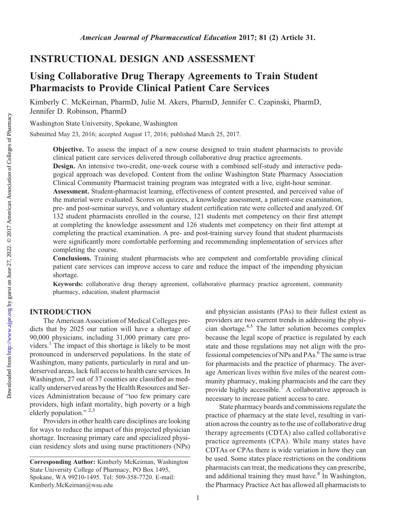## INSTRUCTIONAL DESIGN AND ASSESSMENT

# Using Collaborative Drug Therapy Agreements to Train Student Pharmacists to Provide Clinical Patient Care Services

Kimberly C. McKeirnan, PharmD, Julie M. Akers, PharmD, Jennifer C. Czapinski, PharmD, Jennifer D. Robinson, PharmD

Washington State University, Spokane, Washington

Submitted May 23, 2016; accepted August 17, 2016; published March 25, 2017.

Objective. To assess the impact of a new course designed to train student pharmacists to provide clinical patient care services delivered through collaborative drug practice agreements.

Design. An intensive two-credit, one-week course with a combined self-study and interactive pedagogical approach was developed. Content from the online Washington State Pharmacy Association Clinical Community Pharmacist training program was integrated with a live, eight-hour seminar.

Assessment. Student-pharmacist learning, effectiveness of content presented, and perceived value of the material were evaluated. Scores on quizzes, a knowledge assessment, a patient-case examination, pre- and post-seminar surveys, and voluntary student certification rate were collected and analyzed. Of 132 student pharmacists enrolled in the course, 121 students met competency on their first attempt at completing the knowledge assessment and 126 students met competency on their first attempt at completing the practical examination. A pre- and post-training survey found that student pharmacists were significantly more comfortable performing and recommending implementation of services after completing the course.

Conclusions. Training student pharmacists who are competent and comfortable providing clinical patient care services can improve access to care and reduce the impact of the impending physician shortage.

Keywords: collaborative drug therapy agreement, collaborative pharmacy practice agreement, community pharmacy, education, student pharmacist

## INTRODUCTION

The American Association of Medical Colleges predicts that by 2025 our nation will have a shortage of 90,000 physicians, including 31,000 primary care providers.<sup>1</sup> The impact of this shortage is likely to be most pronounced in underserved populations. In the state of Washington, many patients, particularly in rural and underserved areas, lack full access to health care services. In Washington, 27 out of 37 counties are classified as medically underserved areas by the Health Resources and Services Administration because of "too few primary care providers, high infant mortality, high poverty or a high elderly population." 2,3

Providers in other health care disciplines are looking for ways to reduce the impact of this projected physician shortage. Increasing primary care and specialized physician residency slots and using nurse practitioners (NPs) and physician assistants (PAs) to their fullest extent as providers are two current trends in addressing the physician shortage.<sup>4,5</sup> The latter solution becomes complex because the legal scope of practice is regulated by each state and those regulations may not align with the professional competencies of NPs and PAs.<sup>6</sup> The same is true for pharmacists and the practice of pharmacy. The average American lives within five miles of the nearest community pharmacy, making pharmacists and the care they provide highly accessible.<sup>7</sup> A collaborative approach is necessary to increase patient access to care.

State pharmacy boards and commissions regulate the practice of pharmacy at the state level, resulting in variation across the country as to the use of collaborative drug therapy agreements (CDTA) also called collaborative practice agreements (CPA). While many states have CDTAs or CPAs there is wide variation in how they can be used. Some states place restrictions on the conditions pharmacists can treat, the medications they can prescribe, and additional training they must have. $\sin$  In Washington, the Pharmacy Practice Act has allowed all pharmacists to

Corresponding Author: Kimberly McKeirnan, Washington State University College of Pharmacy, PO Box 1495, Spokane, WA 99210-1495. Tel: 509-358-7720. E-mail: [Kimberly.McKeirnan@wsu.edu](mailto:Kimberly.McKeirnan@wsu.edu)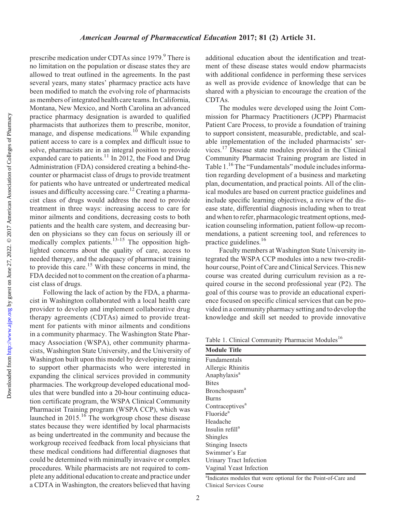prescribe medication under CDTAs since  $1979.9^{\circ}$  There is no limitation on the population or disease states they are allowed to treat outlined in the agreements. In the past several years, many states' pharmacy practice acts have been modified to match the evolving role of pharmacists as members of integrated health care teams. In California, Montana, New Mexico, and North Carolina an advanced practice pharmacy designation is awarded to qualified pharmacists that authorizes them to prescribe, monitor, manage, and dispense medications.<sup>10</sup> While expanding patient access to care is a complex and difficult issue to solve, pharmacists are in an integral position to provide expanded care to patients.<sup>11</sup> In 2012, the Food and Drug Administration (FDA) considered creating a behind-thecounter or pharmacist class of drugs to provide treatment for patients who have untreated or undertreated medical issues and difficulty accessing care.<sup>12</sup> Creating a pharmacist class of drugs would address the need to provide treatment in three ways: increasing access to care for minor ailments and conditions, decreasing costs to both patients and the health care system, and decreasing burden on physicians so they can focus on seriously ill or medically complex patients.<sup>13-15</sup> The opposition highlighted concerns about the quality of care, access to needed therapy, and the adequacy of pharmacist training to provide this care.<sup>15</sup> With these concerns in mind, the FDA decided not to comment on the creation of a pharmacist class of drugs.

Following the lack of action by the FDA, a pharmacist in Washington collaborated with a local health care provider to develop and implement collaborative drug therapy agreements (CDTAs) aimed to provide treatment for patients with minor ailments and conditions in a community pharmacy. The Washington State Pharmacy Association (WSPA), other community pharmacists, Washington State University, and the University of Washington built upon this model by developing training to support other pharmacists who were interested in expanding the clinical services provided in community pharmacies. The workgroup developed educational modules that were bundled into a 20-hour continuing education certificate program, the WSPA Clinical Community Pharmacist Training program (WSPA CCP), which was launched in  $2015$ .<sup>16</sup> The workgroup chose these disease states because they were identified by local pharmacists as being undertreated in the community and because the workgroup received feedback from local physicians that these medical conditions had differential diagnoses that could be determined with minimally invasive or complex procedures. While pharmacists are not required to complete any additional education to create and practice under a CDTA in Washington, the creators believed that having

additional education about the identification and treatment of these disease states would endow pharmacists with additional confidence in performing these services as well as provide evidence of knowledge that can be shared with a physician to encourage the creation of the CDTAs.

The modules were developed using the Joint Commission for Pharmacy Practitioners (JCPP) Pharmacist Patient Care Process, to provide a foundation of training to support consistent, measurable, predictable, and scalable implementation of the included pharmacists' services.<sup>17</sup> Disease state modules provided in the Clinical Community Pharmacist Training program are listed in Table 1.<sup>16</sup>The "Fundamentals" module includes information regarding development of a business and marketing plan, documentation, and practical points. All of the clinical modules are based on current practice guidelines and include specific learning objectives, a review of the disease state, differential diagnosis including when to treat and when to refer, pharmacologic treatment options, medication counseling information, patient follow-up recommendations, a patient screening tool, and references to practice guidelines.16

Faculty members at Washington State University integrated the WSPA CCP modules into a new two-credithour course, Point of Care and Clinical Services. This new course was created during curriculum revision as a required course in the second professional year (P2). The goal of this course was to provide an educational experience focused on specific clinical services that can be provided in a community pharmacy setting and to develop the knowledge and skill set needed to provide innovative

Table 1. Clinical Community Pharmacist Modules<sup>16</sup>

| <b>Module Title</b>         |
|-----------------------------|
| <b>Fundamentals</b>         |
| Allergic Rhinitis           |
| Anaphylaxis <sup>a</sup>    |
| <b>Bites</b>                |
| Bronchospasm <sup>a</sup>   |
| <b>Burns</b>                |
| Contraceptives <sup>a</sup> |
| Fluoride <sup>a</sup>       |
| Headache                    |
| Insulin refill <sup>a</sup> |
| Shingles                    |
| Stinging Insects            |
| Swimmer's Ear               |
| Urinary Tract Infection     |
| Vaginal Yeast Infection     |

<sup>&</sup>lt;sup>a</sup>Indicates modules that were optional for the Point-of-Care and Clinical Services Course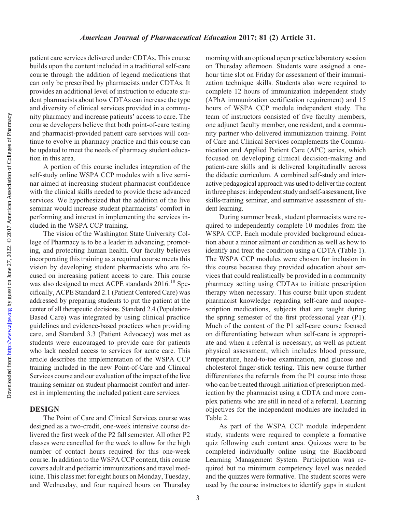patient care services delivered under CDTAs. This course builds upon the content included in a traditional self-care course through the addition of legend medications that can only be prescribed by pharmacists under CDTAs. It provides an additional level of instruction to educate student pharmacists about how CDTAs can increase the type and diversity of clinical services provided in a community pharmacy and increase patients' access to care. The course developers believe that both point-of-care testing and pharmacist-provided patient care services will continue to evolve in pharmacy practice and this course can be updated to meet the needs of pharmacy student education in this area.

A portion of this course includes integration of the self-study online WSPA CCP modules with a live seminar aimed at increasing student pharmacist confidence with the clinical skills needed to provide these advanced services. We hypothesized that the addition of the live seminar would increase student pharmacists' comfort in performing and interest in implementing the services included in the WSPA CCP training.

The vision of the Washington State University College of Pharmacy is to be a leader in advancing, promoting, and protecting human health. Our faculty believes incorporating this training as a required course meets this vision by developing student pharmacists who are focused on increasing patient access to care. This course was also designed to meet ACPE standards 2016.<sup>18</sup> Specifically, ACPE Standard 2.1 (Patient Centered Care) was addressed by preparing students to put the patient at the center of all therapeutic decisions. Standard 2.4 (Population-Based Care) was integrated by using clinical practice guidelines and evidence-based practices when providing care, and Standard 3.3 (Patient Advocacy) was met as students were encouraged to provide care for patients who lack needed access to services for acute care. This article describes the implementation of the WSPA CCP training included in the new Point-of-Care and Clinical Services course and our evaluation of the impact of the live training seminar on student pharmacist comfort and interest in implementing the included patient care services.

## **DESIGN**

Downloaded from

The Point of Care and Clinical Services course was designed as a two-credit, one-week intensive course delivered the first week of the P2 fall semester. All other P2 classes were cancelled for the week to allow for the high number of contact hours required for this one-week course. In addition to the WSPA CCP content, this course covers adult and pediatric immunizations and travel medicine. This class met for eight hours on Monday, Tuesday, and Wednesday, and four required hours on Thursday

morning with an optional open practice laboratory session on Thursday afternoon. Students were assigned a onehour time slot on Friday for assessment of their immunization technique skills. Students also were required to complete 12 hours of immunization independent study (APhA immunization certification requirement) and 15 hours of WSPA CCP module independent study. The team of instructors consisted of five faculty members, one adjunct faculty member, one resident, and a community partner who delivered immunization training. Point of Care and Clinical Services complements the Communication and Applied Patient Care (APC) series, which focused on developing clinical decision-making and patient-care skills and is delivered longitudinally across the didactic curriculum. A combined self-study and interactive pedagogical approach was used to deliver the content in three phases: independent study and self-assessment, live skills-training seminar, and summative assessment of student learning.

During summer break, student pharmacists were required to independently complete 10 modules from the WSPA CCP. Each module provided background education about a minor ailment or condition as well as how to identify and treat the condition using a CDTA (Table 1). The WSPA CCP modules were chosen for inclusion in this course because they provided education about services that could realistically be provided in a community pharmacy setting using CDTAs to initiate prescription therapy when necessary. This course built upon student pharmacist knowledge regarding self-care and nonprescription medications, subjects that are taught during the spring semester of the first professional year (P1). Much of the content of the P1 self-care course focused on differentiating between when self-care is appropriate and when a referral is necessary, as well as patient physical assessment, which includes blood pressure, temperature, head-to-toe examination, and glucose and cholesterol finger-stick testing. This new course further differentiates the referrals from the P1 course into those who can be treated through initiation of prescription medication by the pharmacist using a CDTA and more complex patients who are still in need of a referral. Learning objectives for the independent modules are included in Table 2.

As part of the WSPA CCP module independent study, students were required to complete a formative quiz following each content area. Quizzes were to be completed individually online using the Blackboard Learning Management System. Participation was required but no minimum competency level was needed and the quizzes were formative. The student scores were used by the course instructors to identify gaps in student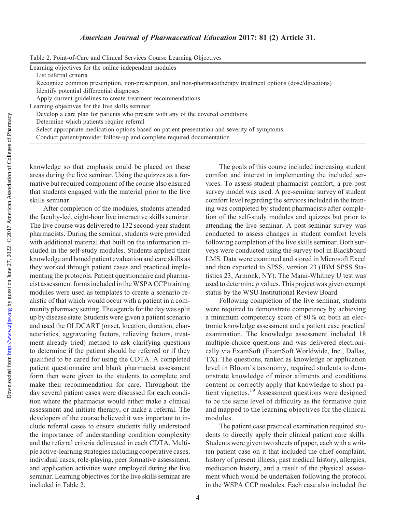Downloaded from

| Table 2. Point-of-Care and Clinical Services Course Learning Objectives |  |  |  |
|-------------------------------------------------------------------------|--|--|--|
|                                                                         |  |  |  |

Learning objectives for the online independent modules

List referral criteria

Recognize common prescription, non-prescription, and non-pharmacotherapy treatment options (dose/directions) Identify potential differential diagnoses

Apply current guidelines to create treatment recommendations

Learning objectives for the live skills seminar

Develop a care plan for patients who present with any of the covered conditions

Determine which patients require referral

Select appropriate medication options based on patient presentation and severity of symptoms

Conduct patient/provider follow-up and complete required documentation

knowledge so that emphasis could be placed on these areas during the live seminar. Using the quizzes as a formative but required component of the course also ensured that students engaged with the material prior to the live skills seminar.

After completion of the modules, students attended the faculty-led, eight-hour live interactive skills seminar. The live course was delivered to 132 second-year student pharmacists. During the seminar, students were provided with additional material that built on the information included in the self-study modules. Students applied their knowledge and honed patient evaluation and care skills as they worked through patient cases and practiced implementing the protocols. Patient questionnaire and pharmacist assessment forms included in theWSPA CCP training modules were used as templates to create a scenario realistic of that which would occur with a patient in a community pharmacy setting. The agenda for the day was split up by disease state. Students were given a patient scenario and used the OLDCART (onset, location, duration, characteristics, aggravating factors, relieving factors, treatment already tried) method to ask clarifying questions to determine if the patient should be referred or if they qualified to be cared for using the CDTA. A completed patient questionnaire and blank pharmacist assessment form then were given to the students to complete and make their recommendation for care. Throughout the day several patient cases were discussed for each condition where the pharmacist would either make a clinical assessment and initiate therapy, or make a referral. The developers of the course believed it was important to include referral cases to ensure students fully understood the importance of understanding condition complexity and the referral criteria delineated in each CDTA. Multiple active-learning strategies including cooperative cases, individual cases, role-playing, peer formative assessment, and application activities were employed during the live seminar. Learning objectives for the live skills seminar are included in Table 2.

The goals of this course included increasing student comfort and interest in implementing the included services. To assess student pharmacist comfort, a pre-post survey model was used. A pre-seminar survey of student comfort level regarding the services included in the training was completed by student pharmacists after completion of the self-study modules and quizzes but prior to attending the live seminar. A post-seminar survey was conducted to assess changes in student comfort levels following completion of the live skills seminar. Both surveys were conducted using the survey tool in Blackboard LMS. Data were examined and stored in Microsoft Excel and then exported to SPSS, version 23 (IBM SPSS Statistics 23, Armonk, NY). The Mann-Whitney U test was used to determine p values. This project was given exempt status by the WSU Institutional Review Board.

Following completion of the live seminar, students were required to demonstrate competency by achieving a minimum competency score of 80% on both an electronic knowledge assessment and a patient case practical examination. The knowledge assessment included 18 multiple-choice questions and was delivered electronically via ExamSoft (ExamSoft Worldwide, Inc., Dallas, TX). The questions, ranked as knowledge or application level in Bloom's taxonomy, required students to demonstrate knowledge of minor ailments and conditions content or correctly apply that knowledge to short patient vignettes.<sup>19</sup> Assessment questions were designed to be the same level of difficulty as the formative quiz and mapped to the learning objectives for the clinical modules.

The patient case practical examination required students to directly apply their clinical patient care skills. Students were given two sheets of paper, each with a written patient case on it that included the chief complaint, history of present illness, past medical history, allergies, medication history, and a result of the physical assessment which would be undertaken following the protocol in the WSPA CCP modules. Each case also included the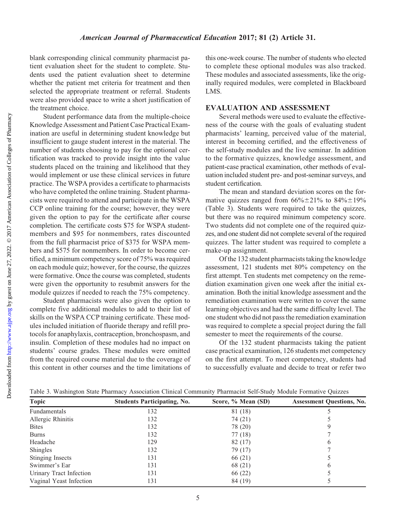Downloaded from

blank corresponding clinical community pharmacist patient evaluation sheet for the student to complete. Students used the patient evaluation sheet to determine whether the patient met criteria for treatment and then selected the appropriate treatment or referral. Students were also provided space to write a short justification of the treatment choice.

Student performance data from the multiple-choice Knowledge Assessment and Patient Case Practical Examination are useful in determining student knowledge but insufficient to gauge student interest in the material. The number of students choosing to pay for the optional certification was tracked to provide insight into the value students placed on the training and likelihood that they would implement or use these clinical services in future practice. The WSPA provides a certificate to pharmacists who have completed the online training. Student pharmacists were required to attend and participate in the WSPA CCP online training for the course; however, they were given the option to pay for the certificate after course completion. The certificate costs \$75 for WSPA studentmembers and \$95 for nonmembers, rates discounted from the full pharmacist price of \$375 for WSPA members and \$575 for nonmembers. In order to become certified, a minimum competency score of 75% was required on each module quiz; however, for the course, the quizzes were formative. Once the course was completed, students were given the opportunity to resubmit answers for the module quizzes if needed to reach the 75% competency.

Student pharmacists were also given the option to complete five additional modules to add to their list of skills on the WSPA CCP training certificate. These modules included initiation of fluoride therapy and refill protocols for anaphylaxis, contraception, bronchospasm, and insulin. Completion of these modules had no impact on students' course grades. These modules were omitted from the required course material due to the coverage of this content in other courses and the time limitations of this one-week course. The number of students who elected to complete these optional modules was also tracked. These modules and associated assessments, like the originally required modules, were completed in Blackboard LMS.

#### EVALUATION AND ASSESSMENT

Several methods were used to evaluate the effectiveness of the course with the goals of evaluating student pharmacists' learning, perceived value of the material, interest in becoming certified, and the effectiveness of the self-study modules and the live seminar. In addition to the formative quizzes, knowledge assessment, and patient-case practical examination, other methods of evaluation included student pre- and post-seminar surveys, and student certification.

The mean and standard deviation scores on the formative quizzes ranged from  $66\% \pm 21\%$  to  $84\% \pm 19\%$ (Table 3). Students were required to take the quizzes, but there was no required minimum competency score. Two students did not complete one of the required quizzes, and one student did not complete several of the required quizzes. The latter student was required to complete a make-up assignment.

Of the 132 student pharmacists taking the knowledge assessment, 121 students met 80% competency on the first attempt. Ten students met competency on the remediation examination given one week after the initial examination. Both the initial knowledge assessment and the remediation examination were written to cover the same learning objectives and had the same difficulty level. The one student who did not pass the remediation examination was required to complete a special project during the fall semester to meet the requirements of the course.

Of the 132 student pharmacists taking the patient case practical examination, 126 students met competency on the first attempt. To meet competency, students had to successfully evaluate and decide to treat or refer two

|  | Table 3. Washington State Pharmacy Association Clinical Community Pharmacist Self-Study Module Formative Quizzes |  |  |  |  |
|--|------------------------------------------------------------------------------------------------------------------|--|--|--|--|
|  |                                                                                                                  |  |  |  |  |
|  |                                                                                                                  |  |  |  |  |
|  |                                                                                                                  |  |  |  |  |

| Topic                   | <b>Students Participating, No.</b> | Score, % Mean (SD) | <b>Assessment Questions, No.</b> |
|-------------------------|------------------------------------|--------------------|----------------------------------|
| Fundamentals            | 132                                | 81 (18)            |                                  |
| Allergic Rhinitis       | 132                                | 74 (21)            |                                  |
| <b>Bites</b>            | 132                                | 78 (20)            |                                  |
| <b>Burns</b>            | 132                                | 77(18)             |                                  |
| Headache                | 129                                | 82(17)             | b                                |
| Shingles                | 132                                | 79 (17)            |                                  |
| <b>Stinging Insects</b> | 131                                | 66 (21)            |                                  |
| Swimmer's Ear           | 131                                | 68 (21)            | O                                |
| Urinary Tract Infection | 131                                | 66 (22)            |                                  |
| Vaginal Yeast Infection | 131                                | 84 (19)            |                                  |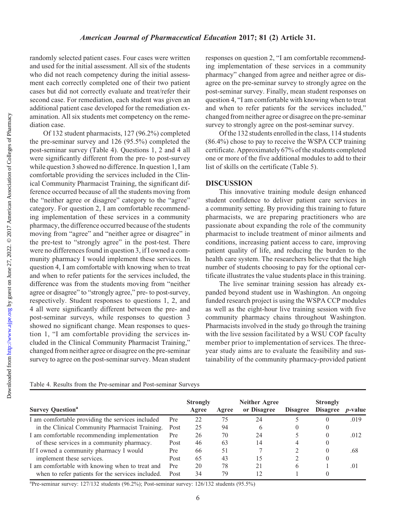randomly selected patient cases. Four cases were written and used for the initial assessment. All six of the students who did not reach competency during the initial assessment each correctly completed one of their two patient cases but did not correctly evaluate and treat/refer their second case. For remediation, each student was given an additional patient case developed for the remediation examination. All six students met competency on the remediation case.

Of 132 student pharmacists, 127 (96.2%) completed the pre-seminar survey and 126 (95.5%) completed the post-seminar survey (Table 4). Questions 1, 2 and 4 all were significantly different from the pre- to post-survey while question 3 showed no difference. In question 1, I am comfortable providing the services included in the Clinical Community Pharmacist Training, the significant difference occurred because of all the students moving from the "neither agree or disagree" category to the "agree" category. For question 2, I am comfortable recommending implementation of these services in a community pharmacy, the difference occurred because of the students moving from "agree" and "neither agree or disagree" in the pre-test to "strongly agree" in the post-test. There were no differences found in question 3, if I owned a community pharmacy I would implement these services. In question 4, I am comfortable with knowing when to treat and when to refer patients for the services included, the difference was from the students moving from "neither agree or disagree" to "strongly agree," pre- to post-survey, respectively. Student responses to questions 1, 2, and 4 all were significantly different between the pre- and post-seminar surveys, while responses to question 3 showed no significant change. Mean responses to question 1, "I am comfortable providing the services included in the Clinical Community Pharmacist Training," changed from neither agree or disagree on the pre-seminar survey to agree on the post-seminar survey. Mean student

responses on question 2, "I am comfortable recommending implementation of these services in a community pharmacy" changed from agree and neither agree or disagree on the pre-seminar survey to strongly agree on the post-seminar survey. Finally, mean student responses on question 4, "I am comfortable with knowing when to treat and when to refer patients for the services included," changed from neither agree or disagree on the pre-seminar survey to strongly agree on the post-seminar survey.

Of the 132 students enrolled in the class, 114 students (86.4%) chose to pay to receive the WSPA CCP training certificate. Approximately 67% of the students completed one or more of the five additional modules to add to their list of skills on the certificate (Table 5).

## DISCUSSION

This innovative training module design enhanced student confidence to deliver patient care services in a community setting. By providing this training to future pharmacists, we are preparing practitioners who are passionate about expanding the role of the community pharmacist to include treatment of minor ailments and conditions, increasing patient access to care, improving patient quality of life, and reducing the burden to the health care system. The researchers believe that the high number of students choosing to pay for the optional certificate illustrates the value students place in this training.

The live seminar training session has already expanded beyond student use in Washington. An ongoing funded research project is using the WSPA CCP modules as well as the eight-hour live training session with five community pharmacy chains throughout Washington. Pharmacists involved in the study go through the training with the live session facilitated by a WSU COP faculty member prior to implementation of services. The threeyear study aims are to evaluate the feasibility and sustainability of the community pharmacy-provided patient

|  |  |  | Table 4. Results from the Pre-seminar and Post-seminar Surveys |  |
|--|--|--|----------------------------------------------------------------|--|
|  |  |  |                                                                |  |

| <b>Survey Question</b> <sup>a</sup>               |      | <b>Strongly</b><br>Agree | Agree | <b>Neither Agree</b><br>or Disagree | <b>Disagree</b> | <b>Strongly</b><br><b>Disagree</b> | <i>p</i> -value |
|---------------------------------------------------|------|--------------------------|-------|-------------------------------------|-----------------|------------------------------------|-----------------|
| I am comfortable providing the services included  | Pre  | 22                       | 75    | 24                                  |                 | O                                  | .019            |
| in the Clinical Community Pharmacist Training.    | Post | 25                       | 94    | 6                                   |                 | $\theta$                           |                 |
| I am comfortable recommending implementation      | Pre  | 26                       | 70    | 24                                  |                 | 0                                  | .012            |
| of these services in a community pharmacy.        | Post | 46                       | 63    | 14                                  | 4               | 0                                  |                 |
| If I owned a community pharmacy I would           | Pre  | 66                       | 51    |                                     |                 | 0                                  | .68             |
| implement these services.                         | Post | 65                       | 43    | 15                                  |                 | $\theta$                           |                 |
| I am comfortable with knowing when to treat and   | Pre  | 20                       | 78    | 21                                  | 6               |                                    | .01             |
| when to refer patients for the services included. | Post | 34                       | 79    | 12                                  |                 |                                    |                 |

aPre-seminar survey: 127/132 students (96.2%); Post-seminar survey: 126/132 students (95.5%)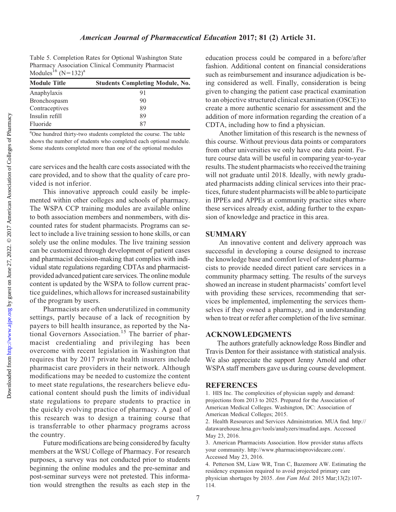Downloaded from

Table 5. Completion Rates for Optional Washington State Pharmacy Association Clinical Community Pharmacist Modules<sup>16</sup> (N=132)<sup>a</sup>

| <b>Module Title</b> | <b>Students Completing Module, No.</b> |
|---------------------|----------------------------------------|
| Anaphylaxis         | 91                                     |
| Bronchospasm        | 90                                     |
| Contraceptives      | 89                                     |
| Insulin refill      | 89                                     |
| Fluoride            | 87                                     |

<sup>a</sup>One hundred thirty-two students completed the course. The table shows the number of students who completed each optional module. Some students completed more than one of the optional modules

care services and the health care costs associated with the care provided, and to show that the quality of care provided is not inferior.

This innovative approach could easily be implemented within other colleges and schools of pharmacy. The WSPA CCP training modules are available online to both association members and nonmembers, with discounted rates for student pharmacists. Programs can select to include a live training session to hone skills, or can solely use the online modules. The live training session can be customized through development of patient cases and pharmacist decision-making that complies with individual state regulations regarding CDTAs and pharmacistprovided advanced patient care services. The online module content is updated by the WSPA to follow current practice guidelines, which allows for increased sustainability of the program by users.

Pharmacists are often underutilized in community settings, partly because of a lack of recognition by payers to bill health insurance, as reported by the National Governors Association.<sup>15</sup> The barrier of pharmacist credentialing and privileging has been overcome with recent legislation in Washington that requires that by 2017 private health insurers include pharmacist care providers in their network. Although modifications may be needed to customize the content to meet state regulations, the researchers believe educational content should push the limits of individual state regulations to prepare students to practice in the quickly evolving practice of pharmacy. A goal of this research was to design a training course that is transferrable to other pharmacy programs across the country.

Future modifications are being considered by faculty members at the WSU College of Pharmacy. For research purposes, a survey was not conducted prior to students beginning the online modules and the pre-seminar and post-seminar surveys were not pretested. This information would strengthen the results as each step in the

education process could be compared in a before/after fashion. Additional content on financial considerations such as reimbursement and insurance adjudication is being considered as well. Finally, consideration is being given to changing the patient case practical examination to an objective structured clinical examination (OSCE) to create a more authentic scenario for assessment and the addition of more information regarding the creation of a CDTA, including how to find a physician.

Another limitation of this research is the newness of this course. Without previous data points or comparators from other universities we only have one data point. Future course data will be useful in comparing year-to-year results. The student pharmacists who received the training will not graduate until 2018. Ideally, with newly graduated pharmacists adding clinical services into their practices, future student pharmacists will be able to participate in IPPEs and APPEs at community practice sites where these services already exist, adding further to the expansion of knowledge and practice in this area.

#### SUMMARY

An innovative content and delivery approach was successful in developing a course designed to increase the knowledge base and comfort level of student pharmacists to provide needed direct patient care services in a community pharmacy setting. The results of the surveys showed an increase in student pharmacists' comfort level with providing these services, recommending that services be implemented, implementing the services themselves if they owned a pharmacy, and in understanding when to treat or refer after completion of the live seminar.

#### ACKNOWLEDGMENTS

The authors gratefully acknowledge Ross Bindler and Travis Denton for their assistance with statistical analysis. We also appreciate the support Jenny Arnold and other WSPA staff members gave us during course development.

#### **REFERENCES**

1. HIS Inc. The complexities of physician supply and demand: projections from 2013 to 2025. Prepared for the Association of American Medical Colleges. Washington, DC: Association of American Medical Colleges; 2015.

2. Health Resources and Services Administration. MUA find. [http://](http://datawarehouse.hrsa.gov/tools/analyzers/muafind.aspx) [datawarehouse.hrsa.gov/tools/analyzers/muafind.aspx](http://datawarehouse.hrsa.gov/tools/analyzers/muafind.aspx). Accessed May 23, 2016.

3. American Pharmacists Association. How provider status affects your community. [http://www.pharmacistsprovidecare.com/.](http://www.pharmacistsprovidecare.com/) Accessed May 23, 2016.

4. Petterson SM, Liaw WR, Tran C, Bazemore AW. Estimating the residency expansion required to avoid projected primary care physician shortages by 2035. Ann Fam Med. 2015 Mar;13(2):107- 114.